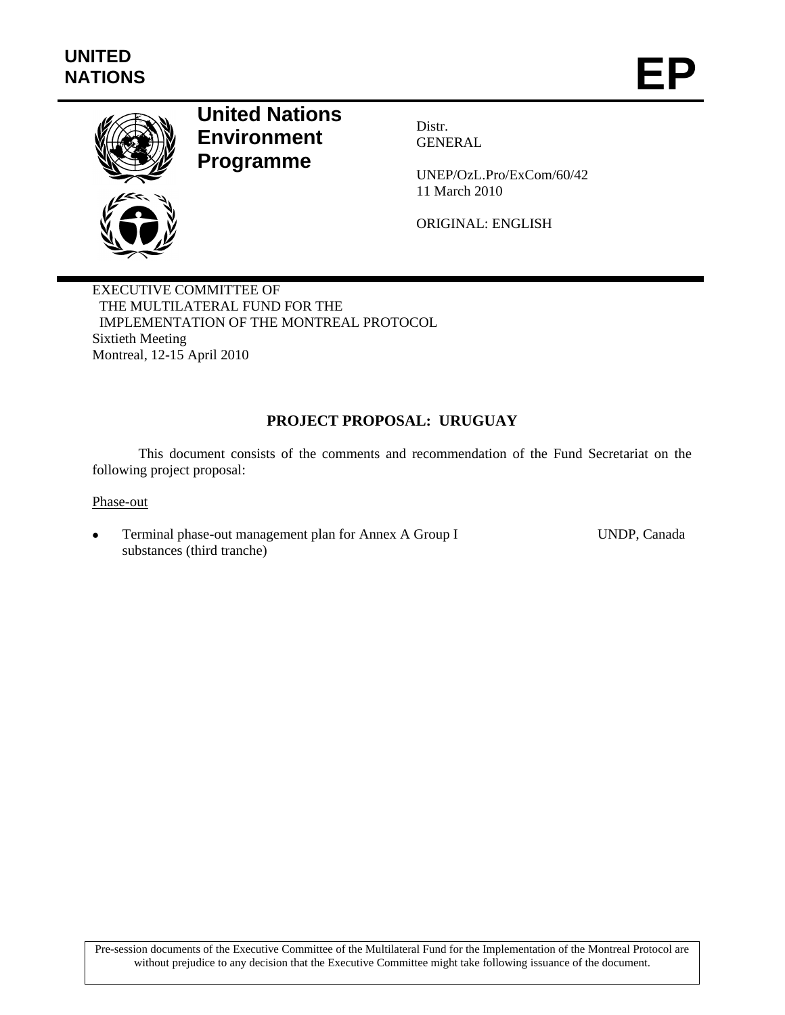

# **United Nations Environment Programme**

Distr. **GENERAL** 

UNEP/OzL.Pro/ExCom/60/42 11 March 2010

ORIGINAL: ENGLISH

EXECUTIVE COMMITTEE OF THE MULTILATERAL FUND FOR THE IMPLEMENTATION OF THE MONTREAL PROTOCOL Sixtieth Meeting Montreal, 12-15 April 2010

## **PROJECT PROPOSAL: URUGUAY**

This document consists of the comments and recommendation of the Fund Secretariat on the following project proposal:

Phase-out

 Terminal phase-out management plan for Annex A Group I substances (third tranche)

UNDP, Canada

Pre-session documents of the Executive Committee of the Multilateral Fund for the Implementation of the Montreal Protocol are without prejudice to any decision that the Executive Committee might take following issuance of the document.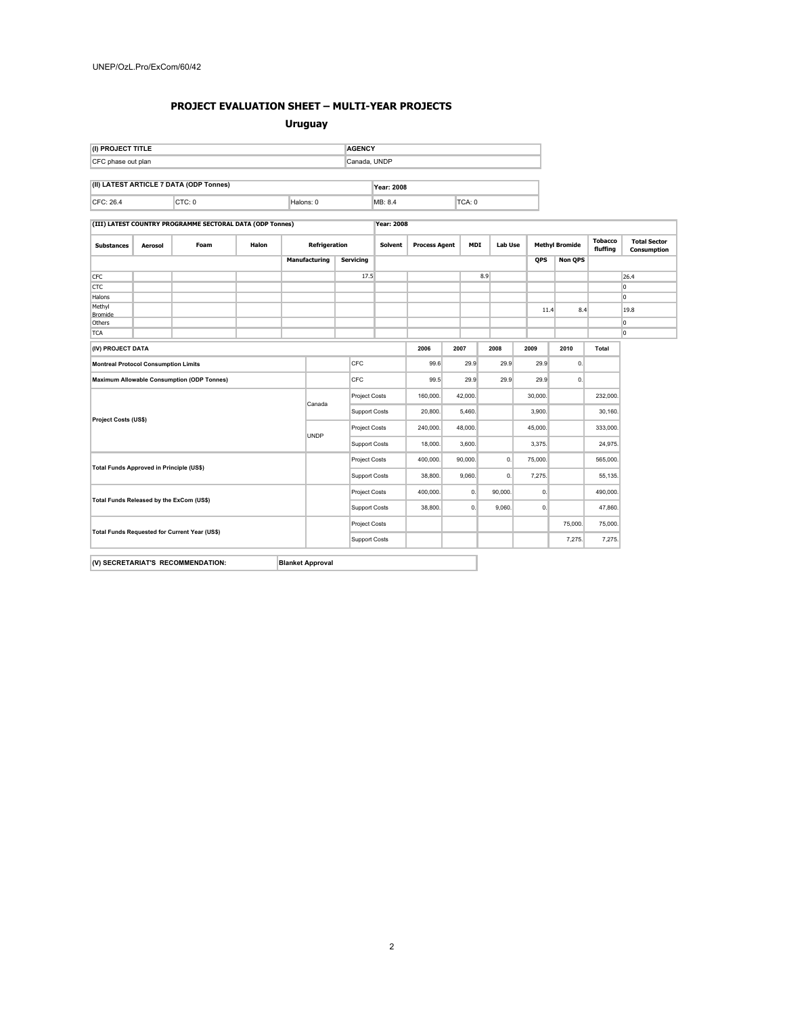## **PROJECT EVALUATION SHEET – MULTI-YEAR PROJECTS**

#### **Uruguay**

| (I) PROJECT TITLE                       | <b>AGENCY</b>   |
|-----------------------------------------|-----------------|
| CFC phase out plan                      | Canada, UNDP    |
|                                         |                 |
| (II) LATEST ARTICLE 7 DATA (ODP Tonnes) | $V_{22}$ $2000$ |

| (II) LATEST ANTICLE / DATA (ODF TUITIES) |  | 2008   |     |  |  |
|------------------------------------------|--|--------|-----|--|--|
| $CED-26$<br>◡                            |  | al∩ns: | MB: |  |  |

**(III) LATEST COUNTRY PROGRAMME SECTORAL DATA (ODP Tonnes) Year: 2008**

| <b>Substances</b>                                            | Aerosol | Foam                                              | Halon                |                      | Refrigeration |                  | <b>Solvent</b> | <b>Process Agent</b> |                | <b>MDI</b> | <b>Lab Use</b> |            | <b>Methyl Bromide</b> |       | <b>Total Sector</b><br>Consumption |
|--------------------------------------------------------------|---------|---------------------------------------------------|----------------------|----------------------|---------------|------------------|----------------|----------------------|----------------|------------|----------------|------------|-----------------------|-------|------------------------------------|
|                                                              |         |                                                   |                      |                      | Manufacturing | <b>Servicing</b> |                |                      |                |            |                | <b>QPS</b> | <b>Non QPS</b>        |       |                                    |
| <b>CFC</b>                                                   |         |                                                   |                      |                      |               | 17.5             |                |                      |                | 8.9        |                |            |                       |       | 26.4                               |
| <b>CTC</b>                                                   |         |                                                   |                      |                      |               |                  |                |                      |                |            |                |            |                       |       | lo.                                |
| Halons                                                       |         |                                                   |                      |                      |               |                  |                |                      |                |            |                |            |                       |       | lo.                                |
| Methyl<br><b>Bromide</b>                                     |         |                                                   |                      |                      |               |                  |                |                      |                |            |                | 11.4       | 8.4                   |       | 19.8                               |
| Others                                                       |         |                                                   |                      |                      |               |                  |                |                      |                |            |                |            |                       |       | O                                  |
| <b>TCA</b>                                                   |         |                                                   |                      |                      |               |                  |                |                      |                |            |                |            |                       |       | l0                                 |
| (IV) PROJECT DATA                                            |         |                                                   |                      |                      |               |                  |                | 2006                 | 2007           |            | 2008           | 2009       | 2010                  | Total |                                    |
| <b>Montreal Protocol Consumption Limits</b>                  |         |                                                   |                      |                      |               | CFC              |                | 99.6                 | 29.9           |            | 29.9           | 29.9       | $\mathbf{0}$          |       |                                    |
|                                                              |         | <b>Maximum Allowable Consumption (ODP Tonnes)</b> |                      |                      |               | CFC              |                | 99.5                 |                | 29.9       | 29.9           | 29.9       | 0.                    |       |                                    |
| Project Costs (US\$)                                         |         |                                                   |                      | <b>Project Costs</b> |               | 160,000.         | 42,000.        |                      |                | 30,000.    |                | 232,000.   |                       |       |                                    |
|                                                              |         | Canada                                            | Support Costs        |                      | 20,800.       | 5,460.           |                |                      | 3,900.         |            | 30,160.        |            |                       |       |                                    |
|                                                              |         |                                                   |                      | <b>Project Costs</b> |               | 240,000.         | 48,000.        |                      |                | 45,000.    |                | 333,000.   |                       |       |                                    |
|                                                              |         |                                                   |                      | <b>UNDP</b>          |               | Support Costs    |                | 3,600.               |                |            | 3,375.         |            | 24,975.               |       |                                    |
|                                                              |         |                                                   |                      | <b>Project Costs</b> |               | 400.000          | 90.000.        |                      | $\mathbf{0}$ . | 75,000.    |                | 565.000.   |                       |       |                                    |
| Total Funds Approved in Principle (US\$)                     |         |                                                   | Support Costs        |                      | 38,800.       | 9,060.           |                | 0.                   | 7,275.         |            | 55,135.        |            |                       |       |                                    |
| Total Funds Released by the ExCom (US\$)                     |         |                                                   | <b>Project Costs</b> |                      | 400.000.      |                  | 0.             | 90.000.              | 0.             |            | 490.000.       |            |                       |       |                                    |
|                                                              |         |                                                   | Support Costs        |                      | 38,800.       |                  | 0.             | 9,060.               | 0.             |            | 47,860.        |            |                       |       |                                    |
| Total Funds Requested for Current Year (US\$)                |         |                                                   | Project Costs        |                      |               |                  |                |                      |                | 75,000.    | 75,000.        |            |                       |       |                                    |
|                                                              |         |                                                   | Support Costs        |                      |               |                  |                |                      |                | 7,275.     | 7,275.         |            |                       |       |                                    |
| (V) SECRETARIAT'S RECOMMENDATION:<br><b>Blanket Approval</b> |         |                                                   |                      |                      |               |                  |                |                      |                |            |                |            |                       |       |                                    |
|                                                              |         |                                                   |                      |                      |               |                  |                |                      |                |            |                |            |                       |       |                                    |

2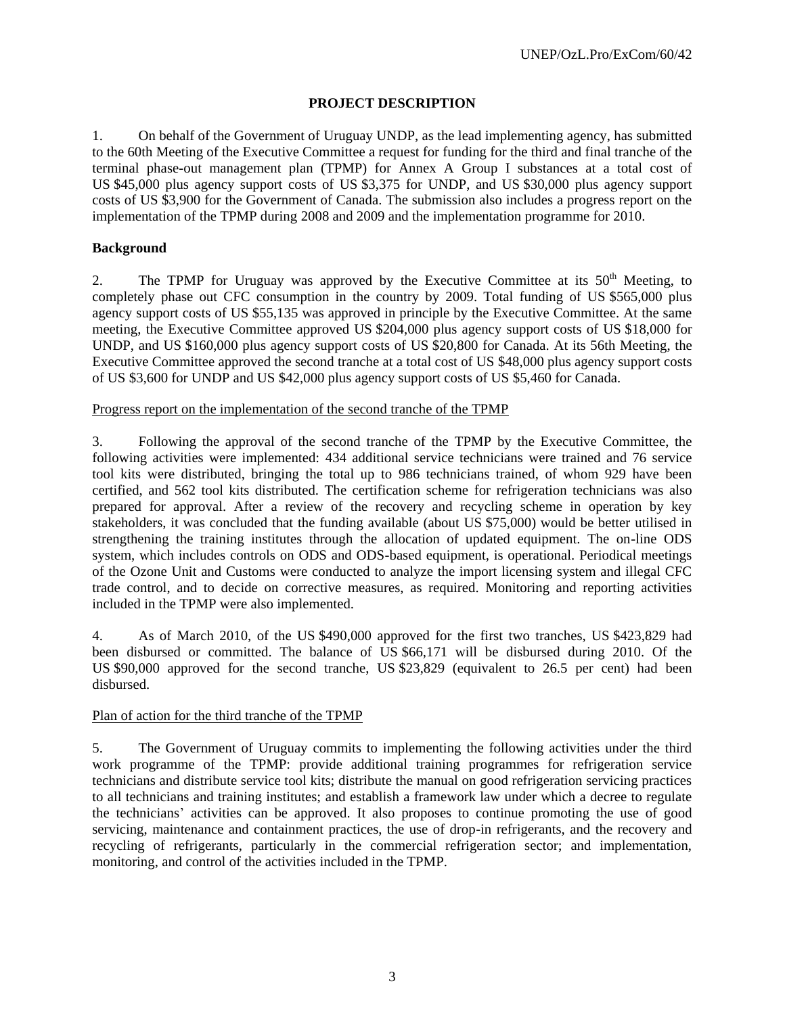## **PROJECT DESCRIPTION**

1. On behalf of the Government of Uruguay UNDP, as the lead implementing agency, has submitted to the 60th Meeting of the Executive Committee a request for funding for the third and final tranche of the terminal phase-out management plan (TPMP) for Annex A Group I substances at a total cost of US \$45,000 plus agency support costs of US \$3,375 for UNDP, and US \$30,000 plus agency support costs of US \$3,900 for the Government of Canada. The submission also includes a progress report on the implementation of the TPMP during 2008 and 2009 and the implementation programme for 2010.

## **Background**

2. The TPMP for Uruguay was approved by the Executive Committee at its  $50<sup>th</sup>$  Meeting, to completely phase out CFC consumption in the country by 2009. Total funding of US \$565,000 plus agency support costs of US \$55,135 was approved in principle by the Executive Committee. At the same meeting, the Executive Committee approved US \$204,000 plus agency support costs of US \$18,000 for UNDP, and US \$160,000 plus agency support costs of US \$20,800 for Canada. At its 56th Meeting, the Executive Committee approved the second tranche at a total cost of US \$48,000 plus agency support costs of US \$3,600 for UNDP and US \$42,000 plus agency support costs of US \$5,460 for Canada.

#### Progress report on the implementation of the second tranche of the TPMP

3. Following the approval of the second tranche of the TPMP by the Executive Committee, the following activities were implemented: 434 additional service technicians were trained and 76 service tool kits were distributed, bringing the total up to 986 technicians trained, of whom 929 have been certified, and 562 tool kits distributed. The certification scheme for refrigeration technicians was also prepared for approval. After a review of the recovery and recycling scheme in operation by key stakeholders, it was concluded that the funding available (about US \$75,000) would be better utilised in strengthening the training institutes through the allocation of updated equipment. The on-line ODS system, which includes controls on ODS and ODS-based equipment, is operational. Periodical meetings of the Ozone Unit and Customs were conducted to analyze the import licensing system and illegal CFC trade control, and to decide on corrective measures, as required. Monitoring and reporting activities included in the TPMP were also implemented.

4. As of March 2010, of the US \$490,000 approved for the first two tranches, US \$423,829 had been disbursed or committed. The balance of US \$66,171 will be disbursed during 2010. Of the US \$90,000 approved for the second tranche, US \$23,829 (equivalent to 26.5 per cent) had been disbursed.

## Plan of action for the third tranche of the TPMP

5. The Government of Uruguay commits to implementing the following activities under the third work programme of the TPMP: provide additional training programmes for refrigeration service technicians and distribute service tool kits; distribute the manual on good refrigeration servicing practices to all technicians and training institutes; and establish a framework law under which a decree to regulate the technicians' activities can be approved. It also proposes to continue promoting the use of good servicing, maintenance and containment practices, the use of drop-in refrigerants, and the recovery and recycling of refrigerants, particularly in the commercial refrigeration sector; and implementation, monitoring, and control of the activities included in the TPMP.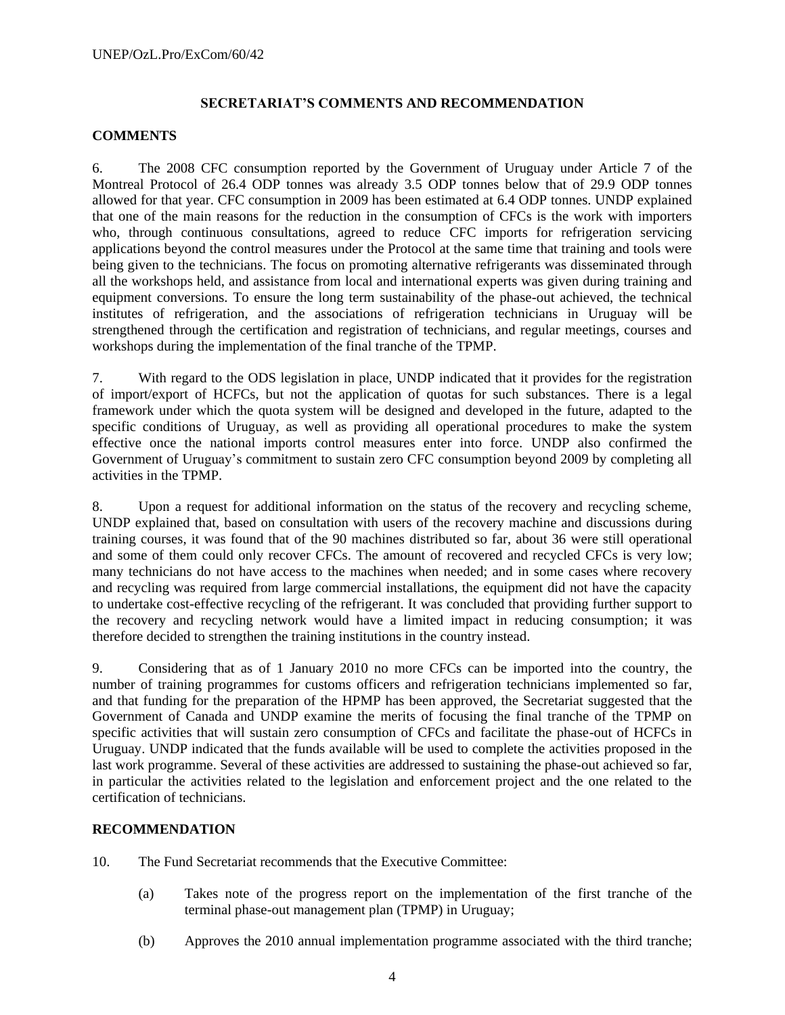### **SECRETARIAT'S COMMENTS AND RECOMMENDATION**

#### **COMMENTS**

6. The 2008 CFC consumption reported by the Government of Uruguay under Article 7 of the Montreal Protocol of 26.4 ODP tonnes was already 3.5 ODP tonnes below that of 29.9 ODP tonnes allowed for that year. CFC consumption in 2009 has been estimated at 6.4 ODP tonnes. UNDP explained that one of the main reasons for the reduction in the consumption of CFCs is the work with importers who, through continuous consultations, agreed to reduce CFC imports for refrigeration servicing applications beyond the control measures under the Protocol at the same time that training and tools were being given to the technicians. The focus on promoting alternative refrigerants was disseminated through all the workshops held, and assistance from local and international experts was given during training and equipment conversions. To ensure the long term sustainability of the phase-out achieved, the technical institutes of refrigeration, and the associations of refrigeration technicians in Uruguay will be strengthened through the certification and registration of technicians, and regular meetings, courses and workshops during the implementation of the final tranche of the TPMP.

7. With regard to the ODS legislation in place, UNDP indicated that it provides for the registration of import/export of HCFCs, but not the application of quotas for such substances. There is a legal framework under which the quota system will be designed and developed in the future, adapted to the specific conditions of Uruguay, as well as providing all operational procedures to make the system effective once the national imports control measures enter into force. UNDP also confirmed the Government of Uruguay's commitment to sustain zero CFC consumption beyond 2009 by completing all activities in the TPMP.

8. Upon a request for additional information on the status of the recovery and recycling scheme, UNDP explained that, based on consultation with users of the recovery machine and discussions during training courses, it was found that of the 90 machines distributed so far, about 36 were still operational and some of them could only recover CFCs. The amount of recovered and recycled CFCs is very low; many technicians do not have access to the machines when needed; and in some cases where recovery and recycling was required from large commercial installations, the equipment did not have the capacity to undertake cost-effective recycling of the refrigerant. It was concluded that providing further support to the recovery and recycling network would have a limited impact in reducing consumption; it was therefore decided to strengthen the training institutions in the country instead.

9. Considering that as of 1 January 2010 no more CFCs can be imported into the country, the number of training programmes for customs officers and refrigeration technicians implemented so far, and that funding for the preparation of the HPMP has been approved, the Secretariat suggested that the Government of Canada and UNDP examine the merits of focusing the final tranche of the TPMP on specific activities that will sustain zero consumption of CFCs and facilitate the phase-out of HCFCs in Uruguay. UNDP indicated that the funds available will be used to complete the activities proposed in the last work programme. Several of these activities are addressed to sustaining the phase-out achieved so far, in particular the activities related to the legislation and enforcement project and the one related to the certification of technicians.

#### **RECOMMENDATION**

10. The Fund Secretariat recommends that the Executive Committee:

- (a) Takes note of the progress report on the implementation of the first tranche of the terminal phase-out management plan (TPMP) in Uruguay;
- (b) Approves the 2010 annual implementation programme associated with the third tranche;